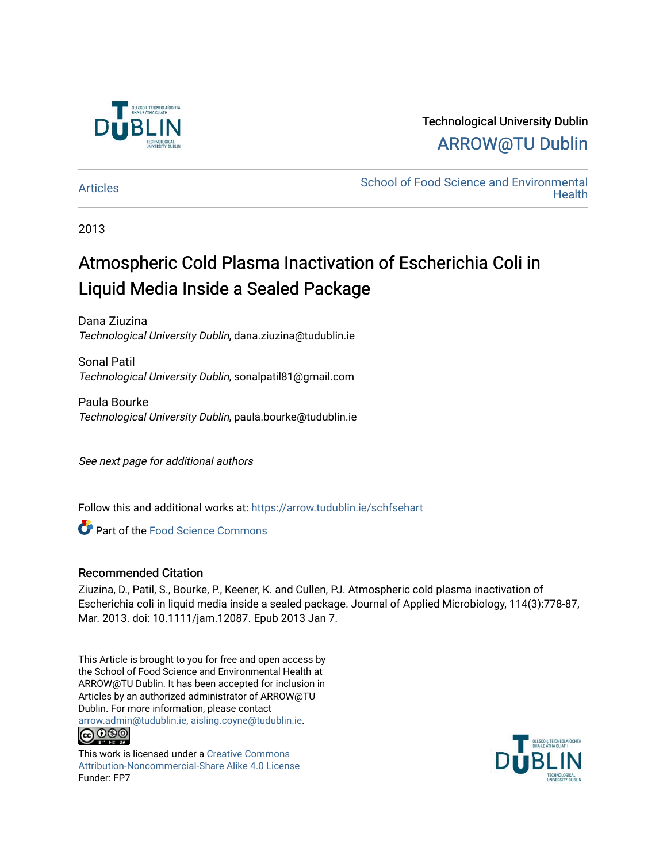

# Technological University Dublin [ARROW@TU Dublin](https://arrow.tudublin.ie/)

[Articles](https://arrow.tudublin.ie/schfsehart) **School of Food Science and Environmental Health** 

2013

# Atmospheric Cold Plasma Inactivation of Escherichia Coli in Liquid Media Inside a Sealed Package

Dana Ziuzina Technological University Dublin, dana.ziuzina@tudublin.ie

Sonal Patil Technological University Dublin, sonalpatil81@gmail.com

Paula Bourke Technological University Dublin, paula.bourke@tudublin.ie

See next page for additional authors

Follow this and additional works at: [https://arrow.tudublin.ie/schfsehart](https://arrow.tudublin.ie/schfsehart?utm_source=arrow.tudublin.ie%2Fschfsehart%2F121&utm_medium=PDF&utm_campaign=PDFCoverPages) 

Part of the [Food Science Commons](http://network.bepress.com/hgg/discipline/84?utm_source=arrow.tudublin.ie%2Fschfsehart%2F121&utm_medium=PDF&utm_campaign=PDFCoverPages) 

### Recommended Citation

Ziuzina, D., Patil, S., Bourke, P., Keener, K. and Cullen, PJ. Atmospheric cold plasma inactivation of Escherichia coli in liquid media inside a sealed package. Journal of Applied Microbiology, 114(3):778-87, Mar. 2013. doi: 10.1111/jam.12087. Epub 2013 Jan 7.

This Article is brought to you for free and open access by the School of Food Science and Environmental Health at ARROW@TU Dublin. It has been accepted for inclusion in Articles by an authorized administrator of ARROW@TU Dublin. For more information, please contact [arrow.admin@tudublin.ie, aisling.coyne@tudublin.ie](mailto:arrow.admin@tudublin.ie,%20aisling.coyne@tudublin.ie). **@@@** 

This work is licensed under a [Creative Commons](http://creativecommons.org/licenses/by-nc-sa/4.0/) [Attribution-Noncommercial-Share Alike 4.0 License](http://creativecommons.org/licenses/by-nc-sa/4.0/) Funder: FP7

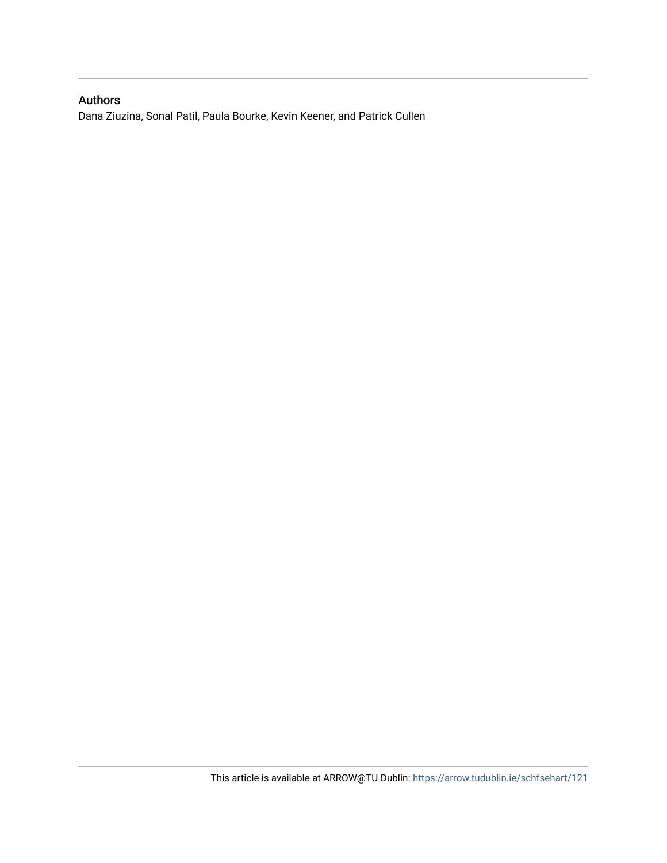## Authors

Dana Ziuzina, Sonal Patil, Paula Bourke, Kevin Keener, and Patrick Cullen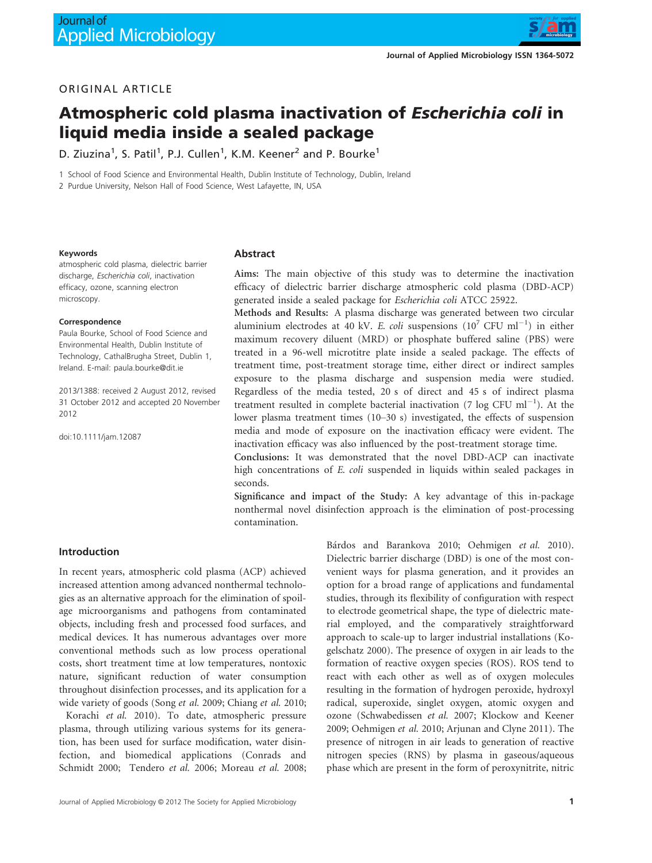

#### ORIGINAL ARTICLE

# Atmospheric cold plasma inactivation of Escherichia coli in liquid media inside a sealed package

D. Ziuzina<sup>1</sup>, S. Patil<sup>1</sup>, P.J. Cullen<sup>1</sup>, K.M. Keener<sup>2</sup> and P. Bourke<sup>1</sup>

1 School of Food Science and Environmental Health, Dublin Institute of Technology, Dublin, Ireland

2 Purdue University, Nelson Hall of Food Science, West Lafayette, IN, USA

#### Keywords

atmospheric cold plasma, dielectric barrier discharge, Escherichia coli, inactivation efficacy, ozone, scanning electron microscopy.

#### Correspondence

Paula Bourke, School of Food Science and Environmental Health, Dublin Institute of Technology, CathalBrugha Street, Dublin 1, Ireland. E-mail: paula.bourke@dit.ie

2013/1388: received 2 August 2012, revised 31 October 2012 and accepted 20 November 2012

doi:10.1111/jam.12087

#### Abstract

Aims: The main objective of this study was to determine the inactivation efficacy of dielectric barrier discharge atmospheric cold plasma (DBD-ACP) generated inside a sealed package for Escherichia coli ATCC 25922.

Methods and Results: A plasma discharge was generated between two circular aluminium electrodes at 40 kV. E. coli suspensions  $(10^7 \text{ CFU ml}^{-1})$  in either maximum recovery diluent (MRD) or phosphate buffered saline (PBS) were treated in a 96-well microtitre plate inside a sealed package. The effects of treatment time, post-treatment storage time, either direct or indirect samples exposure to the plasma discharge and suspension media were studied. Regardless of the media tested, 20 s of direct and 45 s of indirect plasma treatment resulted in complete bacterial inactivation (7 log CFU  $\text{ml}^{-1}$ ). At the lower plasma treatment times (10–30 s) investigated, the effects of suspension media and mode of exposure on the inactivation efficacy were evident. The inactivation efficacy was also influenced by the post-treatment storage time.

Conclusions: It was demonstrated that the novel DBD-ACP can inactivate high concentrations of E. coli suspended in liquids within sealed packages in seconds.

Significance and impact of the Study: A key advantage of this in-package nonthermal novel disinfection approach is the elimination of post-processing contamination.

#### Introduction

In recent years, atmospheric cold plasma (ACP) achieved increased attention among advanced nonthermal technologies as an alternative approach for the elimination of spoilage microorganisms and pathogens from contaminated objects, including fresh and processed food surfaces, and medical devices. It has numerous advantages over more conventional methods such as low process operational costs, short treatment time at low temperatures, nontoxic nature, significant reduction of water consumption throughout disinfection processes, and its application for a wide variety of goods (Song et al. 2009; Chiang et al. 2010;

Korachi et al. 2010). To date, atmospheric pressure plasma, through utilizing various systems for its generation, has been used for surface modification, water disinfection, and biomedical applications (Conrads and Schmidt 2000; Tendero et al. 2006; Moreau et al. 2008; Bárdos and Barankova 2010; Oehmigen et al. 2010). Dielectric barrier discharge (DBD) is one of the most convenient ways for plasma generation, and it provides an option for a broad range of applications and fundamental studies, through its flexibility of configuration with respect to electrode geometrical shape, the type of dielectric material employed, and the comparatively straightforward approach to scale-up to larger industrial installations (Kogelschatz 2000). The presence of oxygen in air leads to the formation of reactive oxygen species (ROS). ROS tend to react with each other as well as of oxygen molecules resulting in the formation of hydrogen peroxide, hydroxyl radical, superoxide, singlet oxygen, atomic oxygen and ozone (Schwabedissen et al. 2007; Klockow and Keener 2009; Oehmigen et al. 2010; Arjunan and Clyne 2011). The presence of nitrogen in air leads to generation of reactive nitrogen species (RNS) by plasma in gaseous/aqueous phase which are present in the form of peroxynitrite, nitric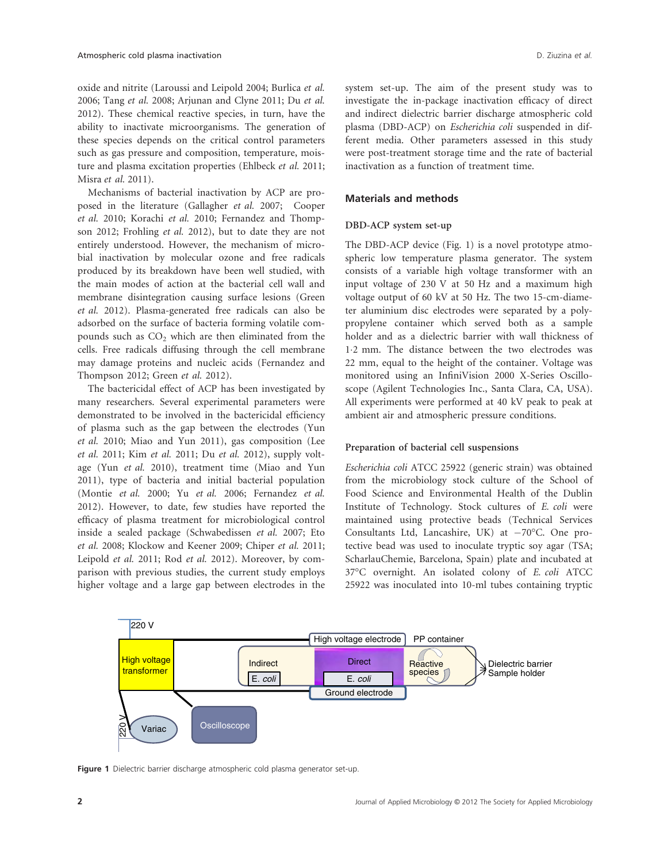oxide and nitrite (Laroussi and Leipold 2004; Burlica et al. 2006; Tang et al. 2008; Arjunan and Clyne 2011; Du et al. 2012). These chemical reactive species, in turn, have the ability to inactivate microorganisms. The generation of these species depends on the critical control parameters such as gas pressure and composition, temperature, moisture and plasma excitation properties (Ehlbeck et al. 2011; Misra et al. 2011).

Mechanisms of bacterial inactivation by ACP are proposed in the literature (Gallagher et al. 2007; Cooper et al. 2010; Korachi et al. 2010; Fernandez and Thompson 2012; Frohling et al. 2012), but to date they are not entirely understood. However, the mechanism of microbial inactivation by molecular ozone and free radicals produced by its breakdown have been well studied, with the main modes of action at the bacterial cell wall and membrane disintegration causing surface lesions (Green et al. 2012). Plasma-generated free radicals can also be adsorbed on the surface of bacteria forming volatile compounds such as  $CO<sub>2</sub>$  which are then eliminated from the cells. Free radicals diffusing through the cell membrane may damage proteins and nucleic acids (Fernandez and Thompson 2012; Green et al. 2012).

The bactericidal effect of ACP has been investigated by many researchers. Several experimental parameters were demonstrated to be involved in the bactericidal efficiency of plasma such as the gap between the electrodes (Yun et al. 2010; Miao and Yun 2011), gas composition (Lee et al. 2011; Kim et al. 2011; Du et al. 2012), supply voltage (Yun et al. 2010), treatment time (Miao and Yun 2011), type of bacteria and initial bacterial population (Montie et al. 2000; Yu et al. 2006; Fernandez et al. 2012). However, to date, few studies have reported the efficacy of plasma treatment for microbiological control inside a sealed package (Schwabedissen et al. 2007; Eto et al. 2008; Klockow and Keener 2009; Chiper et al. 2011; Leipold et al. 2011; Rod et al. 2012). Moreover, by comparison with previous studies, the current study employs higher voltage and a large gap between electrodes in the system set-up. The aim of the present study was to investigate the in-package inactivation efficacy of direct and indirect dielectric barrier discharge atmospheric cold plasma (DBD-ACP) on Escherichia coli suspended in different media. Other parameters assessed in this study were post-treatment storage time and the rate of bacterial inactivation as a function of treatment time.

#### Materials and methods

#### DBD-ACP system set-up

The DBD-ACP device (Fig. 1) is a novel prototype atmospheric low temperature plasma generator. The system consists of a variable high voltage transformer with an input voltage of 230 V at 50 Hz and a maximum high voltage output of 60 kV at 50 Hz. The two 15-cm-diameter aluminium disc electrodes were separated by a polypropylene container which served both as a sample holder and as a dielectric barrier with wall thickness of 12 mm. The distance between the two electrodes was 22 mm, equal to the height of the container. Voltage was monitored using an InfiniVision 2000 X-Series Oscilloscope (Agilent Technologies Inc., Santa Clara, CA, USA). All experiments were performed at 40 kV peak to peak at ambient air and atmospheric pressure conditions.

#### Preparation of bacterial cell suspensions

Escherichia coli ATCC 25922 (generic strain) was obtained from the microbiology stock culture of the School of Food Science and Environmental Health of the Dublin Institute of Technology. Stock cultures of E. coli were maintained using protective beads (Technical Services Consultants Ltd, Lancashire, UK) at  $-70^{\circ}$ C. One protective bead was used to inoculate tryptic soy agar (TSA; ScharlauChemie, Barcelona, Spain) plate and incubated at 37°C overnight. An isolated colony of E. coli ATCC 25922 was inoculated into 10-ml tubes containing tryptic



Figure 1 Dielectric barrier discharge atmospheric cold plasma generator set-up.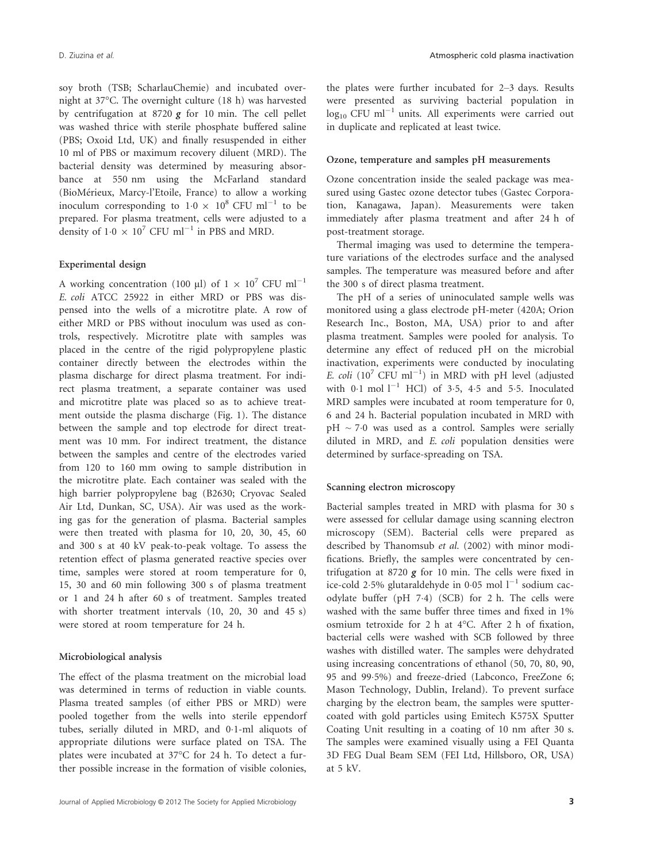soy broth (TSB; ScharlauChemie) and incubated overnight at 37°C. The overnight culture (18 h) was harvested by centrifugation at 8720  $g$  for 10 min. The cell pellet was washed thrice with sterile phosphate buffered saline (PBS; Oxoid Ltd, UK) and finally resuspended in either 10 ml of PBS or maximum recovery diluent (MRD). The bacterial density was determined by measuring absorbance at 550 nm using the McFarland standard (BioMerieux, Marcy-l'Etoile, France) to allow a working inoculum corresponding to  $1.0 \times 10^8$  CFU ml<sup>-1</sup> to be prepared. For plasma treatment, cells were adjusted to a density of  $1.0 \times 10^7$  CFU ml<sup>-1</sup> in PBS and MRD.

#### Experimental design

A working concentration (100 µl) of  $1 \times 10^7$  CFU ml<sup>-1</sup> E. coli ATCC 25922 in either MRD or PBS was dispensed into the wells of a microtitre plate. A row of either MRD or PBS without inoculum was used as controls, respectively. Microtitre plate with samples was placed in the centre of the rigid polypropylene plastic container directly between the electrodes within the plasma discharge for direct plasma treatment. For indirect plasma treatment, a separate container was used and microtitre plate was placed so as to achieve treatment outside the plasma discharge (Fig. 1). The distance between the sample and top electrode for direct treatment was 10 mm. For indirect treatment, the distance between the samples and centre of the electrodes varied from 120 to 160 mm owing to sample distribution in the microtitre plate. Each container was sealed with the high barrier polypropylene bag (B2630; Cryovac Sealed Air Ltd, Dunkan, SC, USA). Air was used as the working gas for the generation of plasma. Bacterial samples were then treated with plasma for 10, 20, 30, 45, 60 and 300 s at 40 kV peak-to-peak voltage. To assess the retention effect of plasma generated reactive species over time, samples were stored at room temperature for 0, 15, 30 and 60 min following 300 s of plasma treatment or 1 and 24 h after 60 s of treatment. Samples treated with shorter treatment intervals (10, 20, 30 and 45 s) were stored at room temperature for 24 h.

#### Microbiological analysis

The effect of the plasma treatment on the microbial load was determined in terms of reduction in viable counts. Plasma treated samples (of either PBS or MRD) were pooled together from the wells into sterile eppendorf tubes, serially diluted in MRD, and 0.1-ml aliquots of appropriate dilutions were surface plated on TSA. The plates were incubated at 37°C for 24 h. To detect a further possible increase in the formation of visible colonies,

the plates were further incubated for 2–3 days. Results were presented as surviving bacterial population in  $\log_{10}$  CFU ml<sup>-1</sup> units. All experiments were carried out in duplicate and replicated at least twice.

#### Ozone, temperature and samples pH measurements

Ozone concentration inside the sealed package was measured using Gastec ozone detector tubes (Gastec Corporation, Kanagawa, Japan). Measurements were taken immediately after plasma treatment and after 24 h of post-treatment storage.

Thermal imaging was used to determine the temperature variations of the electrodes surface and the analysed samples. The temperature was measured before and after the 300 s of direct plasma treatment.

The pH of a series of uninoculated sample wells was monitored using a glass electrode pH-meter (420A; Orion Research Inc., Boston, MA, USA) prior to and after plasma treatment. Samples were pooled for analysis. To determine any effect of reduced pH on the microbial inactivation, experiments were conducted by inoculating E. coli ( $10^7$  CFU ml<sup>-1</sup>) in MRD with pH level (adjusted with  $0.1$  mol  $1^{-1}$  HCl) of 3.5, 4.5 and 5.5. Inoculated MRD samples were incubated at room temperature for 0, 6 and 24 h. Bacterial population incubated in MRD with  $pH \sim 7.0$  was used as a control. Samples were serially diluted in MRD, and E. coli population densities were determined by surface-spreading on TSA.

#### Scanning electron microscopy

Bacterial samples treated in MRD with plasma for 30 s were assessed for cellular damage using scanning electron microscopy (SEM). Bacterial cells were prepared as described by Thanomsub et al. (2002) with minor modifications. Briefly, the samples were concentrated by centrifugation at 8720  $g$  for 10 min. The cells were fixed in ice-cold 2.5% glutaraldehyde in 0.05 mol  $l^{-1}$  sodium cacodylate buffer (pH 74) (SCB) for 2 h. The cells were washed with the same buffer three times and fixed in 1% osmium tetroxide for 2 h at 4°C. After 2 h of fixation, bacterial cells were washed with SCB followed by three washes with distilled water. The samples were dehydrated using increasing concentrations of ethanol (50, 70, 80, 90, 95 and 99.5%) and freeze-dried (Labconco, FreeZone 6; Mason Technology, Dublin, Ireland). To prevent surface charging by the electron beam, the samples were sputtercoated with gold particles using Emitech K575X Sputter Coating Unit resulting in a coating of 10 nm after 30 s. The samples were examined visually using a FEI Quanta 3D FEG Dual Beam SEM (FEI Ltd, Hillsboro, OR, USA) at 5 kV.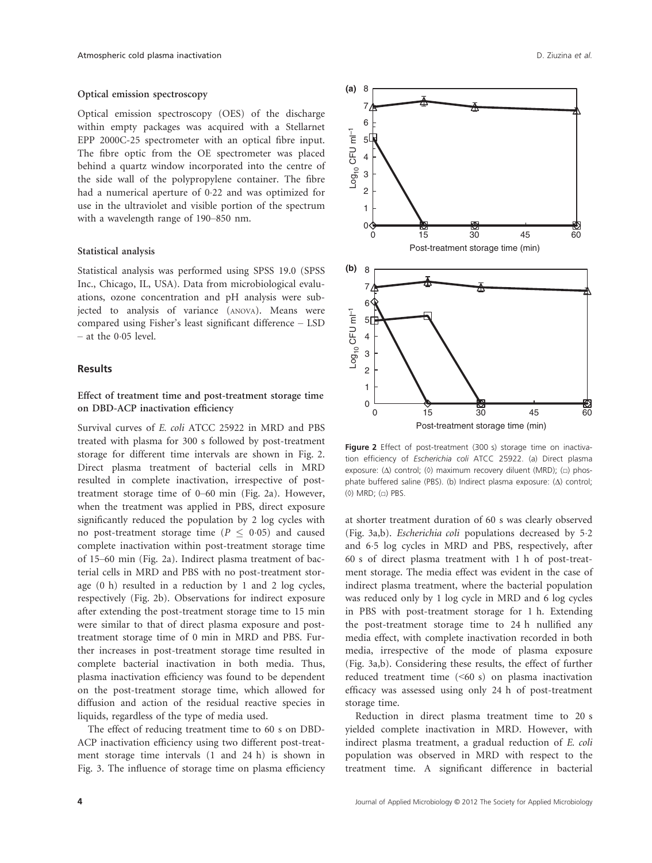#### Optical emission spectroscopy

Optical emission spectroscopy (OES) of the discharge within empty packages was acquired with a Stellarnet EPP 2000C-25 spectrometer with an optical fibre input. The fibre optic from the OE spectrometer was placed behind a quartz window incorporated into the centre of the side wall of the polypropylene container. The fibre had a numerical aperture of 0.22 and was optimized for use in the ultraviolet and visible portion of the spectrum with a wavelength range of 190–850 nm.

#### Statistical analysis

Statistical analysis was performed using SPSS 19.0 (SPSS Inc., Chicago, IL, USA). Data from microbiological evaluations, ozone concentration and pH analysis were subjected to analysis of variance (ANOVA). Means were compared using Fisher's least significant difference – LSD  $-$  at the 0.05 level.

#### **Results**

#### Effect of treatment time and post-treatment storage time on DBD-ACP inactivation efficiency

Survival curves of E. coli ATCC 25922 in MRD and PBS treated with plasma for 300 s followed by post-treatment storage for different time intervals are shown in Fig. 2. Direct plasma treatment of bacterial cells in MRD resulted in complete inactivation, irrespective of posttreatment storage time of 0–60 min (Fig. 2a). However, when the treatment was applied in PBS, direct exposure significantly reduced the population by 2 log cycles with no post-treatment storage time ( $P \leq 0.05$ ) and caused complete inactivation within post-treatment storage time of 15–60 min (Fig. 2a). Indirect plasma treatment of bacterial cells in MRD and PBS with no post-treatment storage (0 h) resulted in a reduction by 1 and 2 log cycles, respectively (Fig. 2b). Observations for indirect exposure after extending the post-treatment storage time to 15 min were similar to that of direct plasma exposure and posttreatment storage time of 0 min in MRD and PBS. Further increases in post-treatment storage time resulted in complete bacterial inactivation in both media. Thus, plasma inactivation efficiency was found to be dependent on the post-treatment storage time, which allowed for diffusion and action of the residual reactive species in liquids, regardless of the type of media used.

The effect of reducing treatment time to 60 s on DBD-ACP inactivation efficiency using two different post-treatment storage time intervals (1 and 24 h) is shown in Fig. 3. The influence of storage time on plasma efficiency



Figure 2 Effect of post-treatment (300 s) storage time on inactivation efficiency of Escherichia coli ATCC 25922. (a) Direct plasma exposure: (Δ) control; (0) maximum recovery diluent (MRD); (□) phosphate buffered saline (PBS). (b) Indirect plasma exposure: (Δ) control; (◇) MRD; (□) PBS.

at shorter treatment duration of 60 s was clearly observed (Fig. 3a,b). Escherichia coli populations decreased by 5.2 and 65 log cycles in MRD and PBS, respectively, after 60 s of direct plasma treatment with 1 h of post-treatment storage. The media effect was evident in the case of indirect plasma treatment, where the bacterial population was reduced only by 1 log cycle in MRD and 6 log cycles in PBS with post-treatment storage for 1 h. Extending the post-treatment storage time to 24 h nullified any media effect, with complete inactivation recorded in both media, irrespective of the mode of plasma exposure (Fig. 3a,b). Considering these results, the effect of further reduced treatment time (<60 s) on plasma inactivation efficacy was assessed using only 24 h of post-treatment storage time.

Reduction in direct plasma treatment time to 20 s yielded complete inactivation in MRD. However, with indirect plasma treatment, a gradual reduction of E. coli population was observed in MRD with respect to the treatment time. A significant difference in bacterial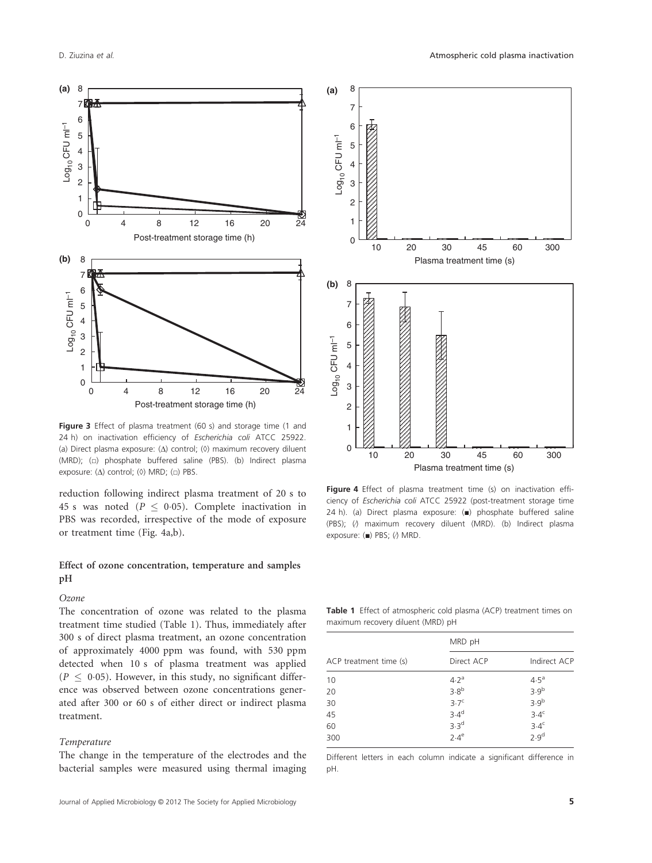

Figure 3 Effect of plasma treatment (60 s) and storage time (1 and 24 h) on inactivation efficiency of Escherichia coli ATCC 25922. (a) Direct plasma exposure: (Δ) control; (◊) maximum recovery diluent (MRD); (□) phosphate buffered saline (PBS). (b) Indirect plasma exposure: (Δ) control; (0) MRD; ( $\Box$ ) PBS.

reduction following indirect plasma treatment of 20 s to 45 s was noted ( $P \leq 0.05$ ). Complete inactivation in PBS was recorded, irrespective of the mode of exposure or treatment time (Fig. 4a,b).

#### Effect of ozone concentration, temperature and samples pH

#### Ozone

The concentration of ozone was related to the plasma treatment time studied (Table 1). Thus, immediately after 300 s of direct plasma treatment, an ozone concentration of approximately 4000 ppm was found, with 530 ppm detected when 10 s of plasma treatment was applied  $(P \leq 0.05)$ . However, in this study, no significant difference was observed between ozone concentrations generated after 300 or 60 s of either direct or indirect plasma treatment.

#### Temperature

The change in the temperature of the electrodes and the bacterial samples were measured using thermal imaging



Figure 4 Effect of plasma treatment time (s) on inactivation efficiency of Escherichia coli ATCC 25922 (post-treatment storage time 24 h). (a) Direct plasma exposure: (■) phosphate buffered saline (PBS); (∕) maximum recovery diluent (MRD). (b) Indirect plasma exposure: (■) PBS; (∕) MRD.

Table 1 Effect of atmospheric cold plasma (ACP) treatment times on maximum recovery diluent (MRD) pH

| ACP treatment time (s) | MRD pH           |                  |
|------------------------|------------------|------------------|
|                        | Direct ACP       | Indirect ACP     |
| 10                     | 4.2 <sup>a</sup> | $4.5^{\circ}$    |
| 20                     | 3.8 <sup>b</sup> | 3.9 <sup>b</sup> |
| 30                     | 3.7 <sup>c</sup> | 3.9 <sup>b</sup> |
| 45                     | 3.4 <sup>d</sup> | 3.4 <sup>c</sup> |
| 60                     | 3.3 <sup>d</sup> | 3.4 <sup>c</sup> |
| 300                    | $2.4^e$          | 2.9 <sup>d</sup> |

Different letters in each column indicate a significant difference in pH.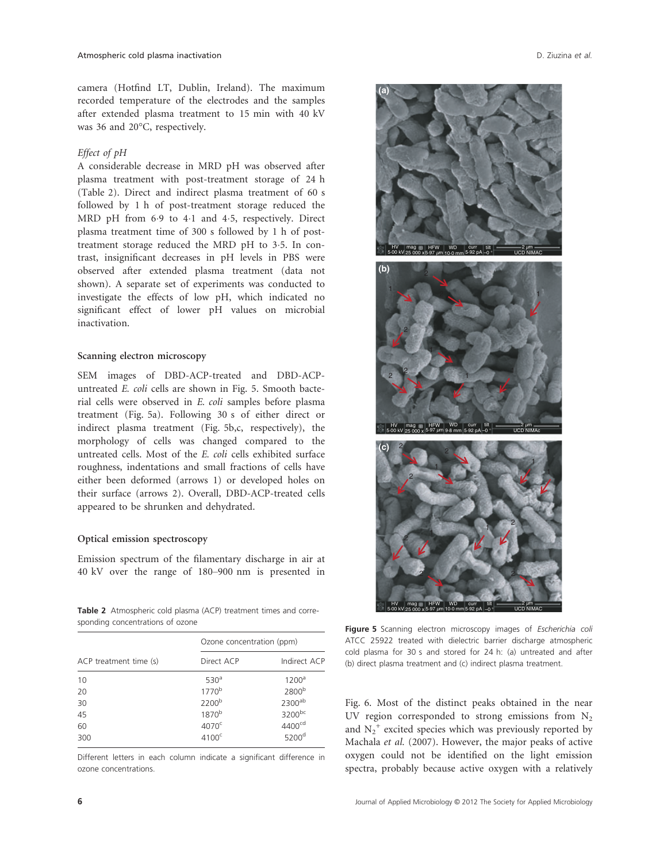camera (Hotfind LT, Dublin, Ireland). The maximum recorded temperature of the electrodes and the samples after extended plasma treatment to 15 min with 40 kV was 36 and 20°C, respectively.

#### Effect of pH

A considerable decrease in MRD pH was observed after plasma treatment with post-treatment storage of 24 h (Table 2). Direct and indirect plasma treatment of 60 s followed by 1 h of post-treatment storage reduced the MRD pH from 6.9 to 4.1 and 4.5, respectively. Direct plasma treatment time of 300 s followed by 1 h of posttreatment storage reduced the MRD pH to 3.5. In contrast, insignificant decreases in pH levels in PBS were observed after extended plasma treatment (data not shown). A separate set of experiments was conducted to investigate the effects of low pH, which indicated no significant effect of lower pH values on microbial inactivation.

#### Scanning electron microscopy

SEM images of DBD-ACP-treated and DBD-ACPuntreated E. coli cells are shown in Fig. 5. Smooth bacterial cells were observed in E. coli samples before plasma treatment (Fig. 5a). Following 30 s of either direct or indirect plasma treatment (Fig. 5b,c, respectively), the morphology of cells was changed compared to the untreated cells. Most of the E. coli cells exhibited surface roughness, indentations and small fractions of cells have either been deformed (arrows 1) or developed holes on their surface (arrows 2). Overall, DBD-ACP-treated cells appeared to be shrunken and dehydrated.

#### Optical emission spectroscopy

Emission spectrum of the filamentary discharge in air at 40 kV over the range of 180–900 nm is presented in

Table 2 Atmospheric cold plasma (ACP) treatment times and corresponding concentrations of ozone

| ACP treatment time (s) | Ozone concentration (ppm) |                    |
|------------------------|---------------------------|--------------------|
|                        | Direct ACP                | Indirect ACP       |
| 10                     | 530 <sup>a</sup>          | 1200 <sup>a</sup>  |
| 20                     | 1770 <sup>b</sup>         | 2800 <sup>b</sup>  |
| 30                     | 2200 <sup>b</sup>         | $2300^{ab}$        |
| 45                     | 1870 <sup>b</sup>         | 3200bc             |
| 60                     | 4070 <sup>c</sup>         | 4400 <sup>cd</sup> |
| 300                    | 4100 <sup>c</sup>         | 5200 <sup>d</sup>  |

Different letters in each column indicate a significant difference in ozone concentrations.



Figure 5 Scanning electron microscopy images of Escherichia coli ATCC 25922 treated with dielectric barrier discharge atmospheric cold plasma for 30 s and stored for 24 h: (a) untreated and after (b) direct plasma treatment and (c) indirect plasma treatment.

Fig. 6. Most of the distinct peaks obtained in the near UV region corresponded to strong emissions from  $N<sub>2</sub>$ and  $N_2^+$  excited species which was previously reported by Machala et al. (2007). However, the major peaks of active oxygen could not be identified on the light emission spectra, probably because active oxygen with a relatively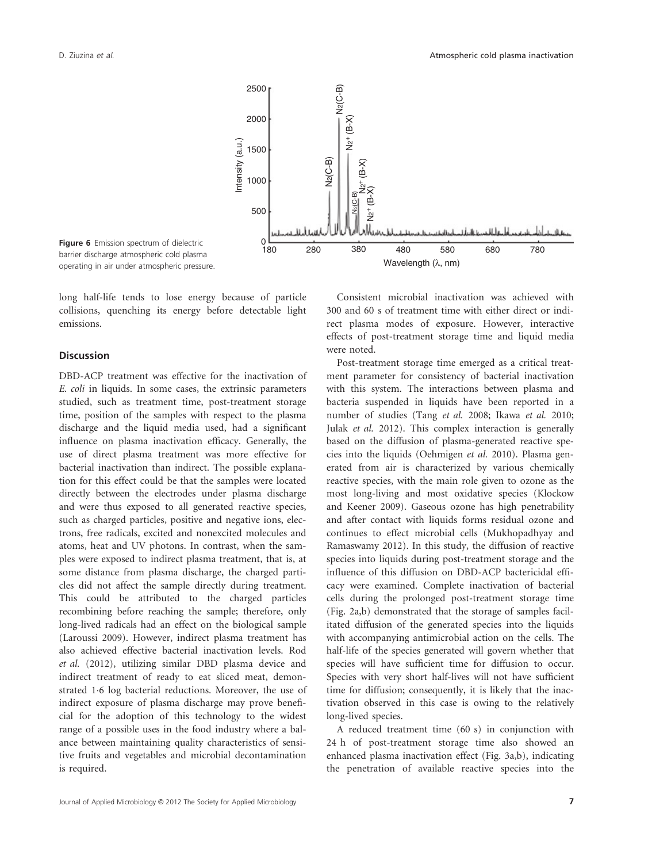

Figure 6 Emission spectrum of dielectric barrier discharge atmospheric cold plasma operating in air under atmospheric pressure.

long half-life tends to lose energy because of particle collisions, quenching its energy before detectable light emissions.

#### **Discussion**

DBD-ACP treatment was effective for the inactivation of E. coli in liquids. In some cases, the extrinsic parameters studied, such as treatment time, post-treatment storage time, position of the samples with respect to the plasma discharge and the liquid media used, had a significant influence on plasma inactivation efficacy. Generally, the use of direct plasma treatment was more effective for bacterial inactivation than indirect. The possible explanation for this effect could be that the samples were located directly between the electrodes under plasma discharge and were thus exposed to all generated reactive species, such as charged particles, positive and negative ions, electrons, free radicals, excited and nonexcited molecules and atoms, heat and UV photons. In contrast, when the samples were exposed to indirect plasma treatment, that is, at some distance from plasma discharge, the charged particles did not affect the sample directly during treatment. This could be attributed to the charged particles recombining before reaching the sample; therefore, only long-lived radicals had an effect on the biological sample (Laroussi 2009). However, indirect plasma treatment has also achieved effective bacterial inactivation levels. Rod et al. (2012), utilizing similar DBD plasma device and indirect treatment of ready to eat sliced meat, demonstrated 1.6 log bacterial reductions. Moreover, the use of indirect exposure of plasma discharge may prove beneficial for the adoption of this technology to the widest range of a possible uses in the food industry where a balance between maintaining quality characteristics of sensitive fruits and vegetables and microbial decontamination is required.

Consistent microbial inactivation was achieved with 300 and 60 s of treatment time with either direct or indirect plasma modes of exposure. However, interactive effects of post-treatment storage time and liquid media were noted.

Post-treatment storage time emerged as a critical treatment parameter for consistency of bacterial inactivation with this system. The interactions between plasma and bacteria suspended in liquids have been reported in a number of studies (Tang et al. 2008; Ikawa et al. 2010; Julak et al. 2012). This complex interaction is generally based on the diffusion of plasma-generated reactive species into the liquids (Oehmigen et al. 2010). Plasma generated from air is characterized by various chemically reactive species, with the main role given to ozone as the most long-living and most oxidative species (Klockow and Keener 2009). Gaseous ozone has high penetrability and after contact with liquids forms residual ozone and continues to effect microbial cells (Mukhopadhyay and Ramaswamy 2012). In this study, the diffusion of reactive species into liquids during post-treatment storage and the influence of this diffusion on DBD-ACP bactericidal efficacy were examined. Complete inactivation of bacterial cells during the prolonged post-treatment storage time (Fig. 2a,b) demonstrated that the storage of samples facilitated diffusion of the generated species into the liquids with accompanying antimicrobial action on the cells. The half-life of the species generated will govern whether that species will have sufficient time for diffusion to occur. Species with very short half-lives will not have sufficient time for diffusion; consequently, it is likely that the inactivation observed in this case is owing to the relatively long-lived species.

A reduced treatment time (60 s) in conjunction with 24 h of post-treatment storage time also showed an enhanced plasma inactivation effect (Fig. 3a,b), indicating the penetration of available reactive species into the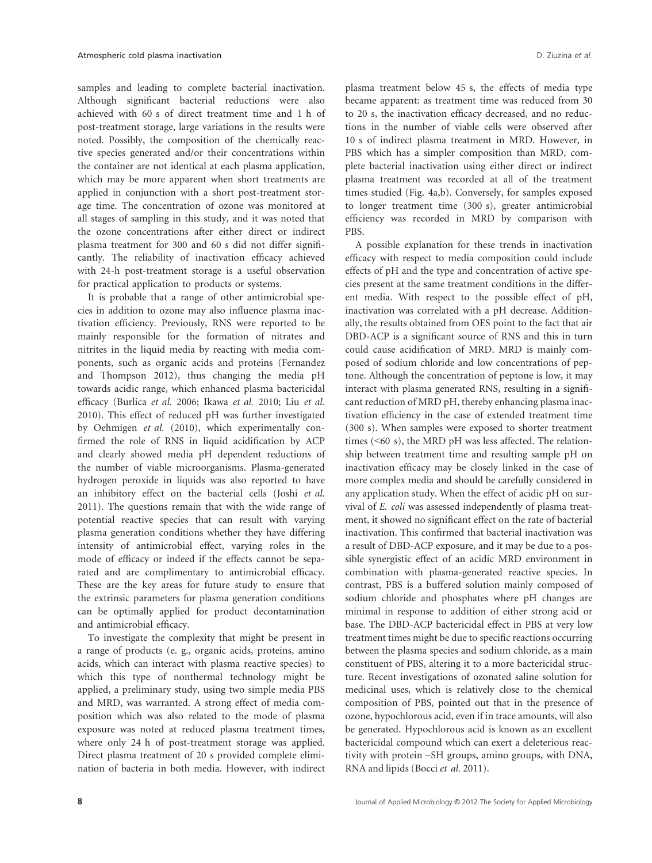samples and leading to complete bacterial inactivation. Although significant bacterial reductions were also achieved with 60 s of direct treatment time and 1 h of post-treatment storage, large variations in the results were noted. Possibly, the composition of the chemically reactive species generated and/or their concentrations within the container are not identical at each plasma application, which may be more apparent when short treatments are applied in conjunction with a short post-treatment storage time. The concentration of ozone was monitored at all stages of sampling in this study, and it was noted that the ozone concentrations after either direct or indirect plasma treatment for 300 and 60 s did not differ significantly. The reliability of inactivation efficacy achieved with 24-h post-treatment storage is a useful observation for practical application to products or systems.

It is probable that a range of other antimicrobial species in addition to ozone may also influence plasma inactivation efficiency. Previously, RNS were reported to be mainly responsible for the formation of nitrates and nitrites in the liquid media by reacting with media components, such as organic acids and proteins (Fernandez and Thompson 2012), thus changing the media pH towards acidic range, which enhanced plasma bactericidal efficacy (Burlica et al. 2006; Ikawa et al. 2010; Liu et al. 2010). This effect of reduced pH was further investigated by Oehmigen et al. (2010), which experimentally confirmed the role of RNS in liquid acidification by ACP and clearly showed media pH dependent reductions of the number of viable microorganisms. Plasma-generated hydrogen peroxide in liquids was also reported to have an inhibitory effect on the bacterial cells (Joshi et al. 2011). The questions remain that with the wide range of potential reactive species that can result with varying plasma generation conditions whether they have differing intensity of antimicrobial effect, varying roles in the mode of efficacy or indeed if the effects cannot be separated and are complimentary to antimicrobial efficacy. These are the key areas for future study to ensure that the extrinsic parameters for plasma generation conditions can be optimally applied for product decontamination and antimicrobial efficacy.

To investigate the complexity that might be present in a range of products (e. g., organic acids, proteins, amino acids, which can interact with plasma reactive species) to which this type of nonthermal technology might be applied, a preliminary study, using two simple media PBS and MRD, was warranted. A strong effect of media composition which was also related to the mode of plasma exposure was noted at reduced plasma treatment times, where only 24 h of post-treatment storage was applied. Direct plasma treatment of 20 s provided complete elimination of bacteria in both media. However, with indirect plasma treatment below 45 s, the effects of media type became apparent: as treatment time was reduced from 30 to 20 s, the inactivation efficacy decreased, and no reductions in the number of viable cells were observed after 10 s of indirect plasma treatment in MRD. However, in PBS which has a simpler composition than MRD, complete bacterial inactivation using either direct or indirect plasma treatment was recorded at all of the treatment times studied (Fig. 4a,b). Conversely, for samples exposed to longer treatment time (300 s), greater antimicrobial efficiency was recorded in MRD by comparison with PBS.

A possible explanation for these trends in inactivation efficacy with respect to media composition could include effects of pH and the type and concentration of active species present at the same treatment conditions in the different media. With respect to the possible effect of pH, inactivation was correlated with a pH decrease. Additionally, the results obtained from OES point to the fact that air DBD-ACP is a significant source of RNS and this in turn could cause acidification of MRD. MRD is mainly composed of sodium chloride and low concentrations of peptone. Although the concentration of peptone is low, it may interact with plasma generated RNS, resulting in a significant reduction of MRD pH, thereby enhancing plasma inactivation efficiency in the case of extended treatment time (300 s). When samples were exposed to shorter treatment times (<60 s), the MRD pH was less affected. The relationship between treatment time and resulting sample pH on inactivation efficacy may be closely linked in the case of more complex media and should be carefully considered in any application study. When the effect of acidic pH on survival of E. coli was assessed independently of plasma treatment, it showed no significant effect on the rate of bacterial inactivation. This confirmed that bacterial inactivation was a result of DBD-ACP exposure, and it may be due to a possible synergistic effect of an acidic MRD environment in combination with plasma-generated reactive species. In contrast, PBS is a buffered solution mainly composed of sodium chloride and phosphates where pH changes are minimal in response to addition of either strong acid or base. The DBD-ACP bactericidal effect in PBS at very low treatment times might be due to specific reactions occurring between the plasma species and sodium chloride, as a main constituent of PBS, altering it to a more bactericidal structure. Recent investigations of ozonated saline solution for medicinal uses, which is relatively close to the chemical composition of PBS, pointed out that in the presence of ozone, hypochlorous acid, even if in trace amounts, will also be generated. Hypochlorous acid is known as an excellent bactericidal compound which can exert a deleterious reactivity with protein –SH groups, amino groups, with DNA, RNA and lipids (Bocci et al. 2011).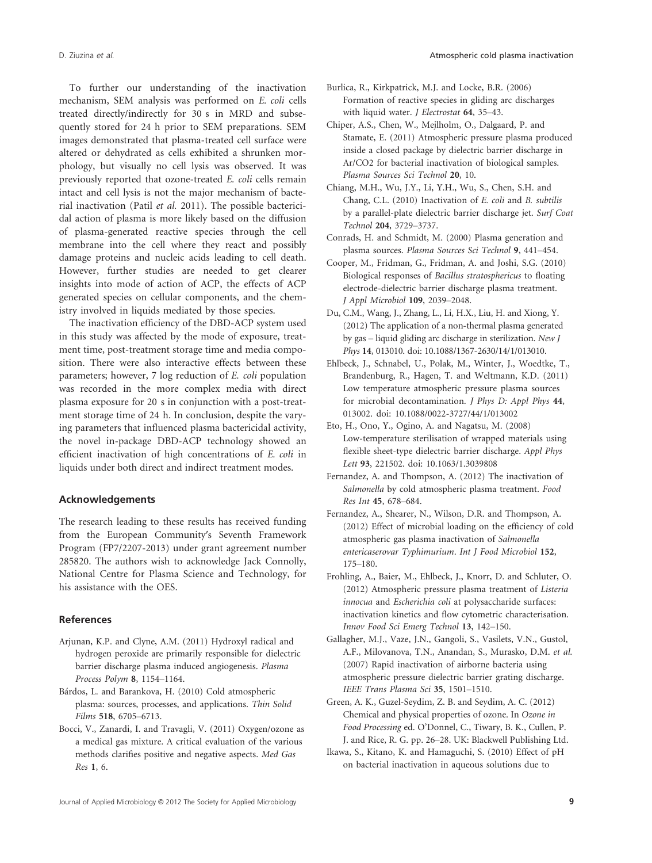To further our understanding of the inactivation mechanism, SEM analysis was performed on E. coli cells treated directly/indirectly for 30 s in MRD and subsequently stored for 24 h prior to SEM preparations. SEM images demonstrated that plasma-treated cell surface were altered or dehydrated as cells exhibited a shrunken morphology, but visually no cell lysis was observed. It was previously reported that ozone-treated E. coli cells remain intact and cell lysis is not the major mechanism of bacterial inactivation (Patil et al. 2011). The possible bactericidal action of plasma is more likely based on the diffusion of plasma-generated reactive species through the cell membrane into the cell where they react and possibly damage proteins and nucleic acids leading to cell death. However, further studies are needed to get clearer insights into mode of action of ACP, the effects of ACP generated species on cellular components, and the chemistry involved in liquids mediated by those species.

The inactivation efficiency of the DBD-ACP system used in this study was affected by the mode of exposure, treatment time, post-treatment storage time and media composition. There were also interactive effects between these parameters; however, 7 log reduction of E. coli population was recorded in the more complex media with direct plasma exposure for 20 s in conjunction with a post-treatment storage time of 24 h. In conclusion, despite the varying parameters that influenced plasma bactericidal activity, the novel in-package DBD-ACP technology showed an efficient inactivation of high concentrations of E. coli in liquids under both direct and indirect treatment modes.

#### Acknowledgements

The research leading to these results has received funding from the European Community′s Seventh Framework Program (FP7/2207-2013) under grant agreement number 285820. The authors wish to acknowledge Jack Connolly, National Centre for Plasma Science and Technology, for his assistance with the OES.

#### References

- Arjunan, K.P. and Clyne, A.M. (2011) Hydroxyl radical and hydrogen peroxide are primarily responsible for dielectric barrier discharge plasma induced angiogenesis. Plasma Process Polym 8, 1154–1164.
- Bárdos, L. and Barankova, H. (2010) Cold atmospheric plasma: sources, processes, and applications. Thin Solid Films 518, 6705–6713.
- Bocci, V., Zanardi, I. and Travagli, V. (2011) Oxygen/ozone as a medical gas mixture. A critical evaluation of the various methods clarifies positive and negative aspects. Med Gas Res 1, 6.
- Burlica, R., Kirkpatrick, M.J. and Locke, B.R. (2006) Formation of reactive species in gliding arc discharges with liquid water. *J Electrostat* 64, 35-43.
- Chiper, A.S., Chen, W., Mejlholm, O., Dalgaard, P. and Stamate, E. (2011) Atmospheric pressure plasma produced inside a closed package by dielectric barrier discharge in Ar/CO2 for bacterial inactivation of biological samples. Plasma Sources Sci Technol 20, 10.
- Chiang, M.H., Wu, J.Y., Li, Y.H., Wu, S., Chen, S.H. and Chang, C.L. (2010) Inactivation of E. coli and B. subtilis by a parallel-plate dielectric barrier discharge jet. Surf Coat Technol 204, 3729–3737.
- Conrads, H. and Schmidt, M. (2000) Plasma generation and plasma sources. Plasma Sources Sci Technol 9, 441–454.
- Cooper, M., Fridman, G., Fridman, A. and Joshi, S.G. (2010) Biological responses of Bacillus stratosphericus to floating electrode-dielectric barrier discharge plasma treatment. J Appl Microbiol 109, 2039–2048.
- Du, C.M., Wang, J., Zhang, L., Li, H.X., Liu, H. and Xiong, Y. (2012) The application of a non-thermal plasma generated by gas – liquid gliding arc discharge in sterilization. New J Phys 14, 013010. doi: 10.1088/1367-2630/14/1/013010.
- Ehlbeck, J., Schnabel, U., Polak, M., Winter, J., Woedtke, T., Brandenburg, R., Hagen, T. and Weltmann, K.D. (2011) Low temperature atmospheric pressure plasma sources for microbial decontamination. J Phys D: Appl Phys 44, 013002. doi: 10.1088/0022-3727/44/1/013002
- Eto, H., Ono, Y., Ogino, A. and Nagatsu, M. (2008) Low-temperature sterilisation of wrapped materials using flexible sheet-type dielectric barrier discharge. Appl Phys Lett 93, 221502. doi: 10.1063/1.3039808
- Fernandez, A. and Thompson, A. (2012) The inactivation of Salmonella by cold atmospheric plasma treatment. Food Res Int 45, 678–684.
- Fernandez, A., Shearer, N., Wilson, D.R. and Thompson, A. (2012) Effect of microbial loading on the efficiency of cold atmospheric gas plasma inactivation of Salmonella entericaserovar Typhimurium. Int J Food Microbiol 152, 175–180.
- Frohling, A., Baier, M., Ehlbeck, J., Knorr, D. and Schluter, O. (2012) Atmospheric pressure plasma treatment of Listeria innocua and Escherichia coli at polysaccharide surfaces: inactivation kinetics and flow cytometric characterisation. Innov Food Sci Emerg Technol 13, 142–150.
- Gallagher, M.J., Vaze, J.N., Gangoli, S., Vasilets, V.N., Gustol, A.F., Milovanova, T.N., Anandan, S., Murasko, D.M. et al. (2007) Rapid inactivation of airborne bacteria using atmospheric pressure dielectric barrier grating discharge. IEEE Trans Plasma Sci 35, 1501–1510.
- Green, A. K., Guzel-Seydim, Z. B. and Seydim, A. C. (2012) Chemical and physical properties of ozone. In Ozone in Food Processing ed. O'Donnel, C., Tiwary, B. K., Cullen, P. J. and Rice, R. G. pp. 26–28. UK: Blackwell Publishing Ltd.
- Ikawa, S., Kitano, K. and Hamaguchi, S. (2010) Effect of pH on bacterial inactivation in aqueous solutions due to